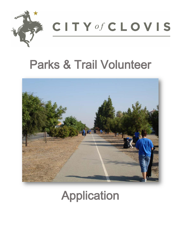

**CITY of CLOVIS** 

## Parks & Trail Volunteer



## Application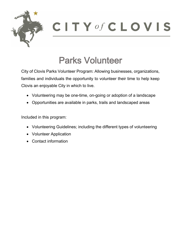

### Parks Volunteer

City of Clovis Parks Volunteer Program: Allowing businesses, organizations, families and individuals the opportunity to volunteer their time to help keep Clovis an enjoyable City in which to live.

- Volunteering may be one-time, on-going or adoption of a landscape
- Opportunities are available in parks, trails and landscaped areas

Included in this program:

- Volunteering Guidelines; including the different types of volunteering
- Volunteer Application
- Contact information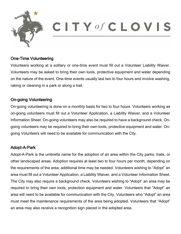

#### One-Time Volunteering

Volunteers working at a solitary or one-time event must fill out a Volunteer Liability Waiver. Volunteers may be asked to bring their own tools, protective equipment and water depending on the nature of the event. One-time events usually last two to four hours and involve washing, raking or cleaning in a park or along a trail.

#### On-going Volunteering

On-going volunteering is done on a monthly basis for two to four hours. Volunteers working as on-going volunteers must fill out a Volunteer Application, a Liability Waiver, and a Volunteer Information Sheet. On-going volunteers may also be required to have a background check. Ongoing volunteers may be required to bring their own tools, protective equipment and water. Ongoing Volunteers will need to be available for communication with the City.

#### Adopt-A-Park

Adopt-A-Park is the umbrella name for the adoption of an area within the City parks, trails, or other landscaped areas. Adoption requires at least two to four hours per month, depending on the requirements of the area; additional time may be needed. Volunteers wishing to "Adopt" an area must fill out a Volunteer Application, a Liability Waiver, and a Volunteer Information Sheet. The City may also require a background check. Volunteers wishing to "Adopt" an area may be required to bring their own tools, protection equipment and water. Volunteers that "Adopt" an area will need to be available for communication with the City. Volunteers who "Adopt" an area must meet the maintenance requirements of the area being adopted. Volunteers that "Adopt" an area may also receive a recognition sign placed in the adopted area.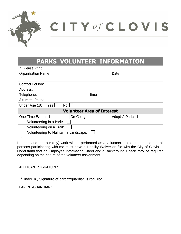

# **CITY** of **CLOVIS**

|                                       | <b>PARKS VOLUNTEER INFORMATION</b> |
|---------------------------------------|------------------------------------|
| * Please Print                        |                                    |
| <b>Organization Name:</b>             | Date:                              |
|                                       |                                    |
| <b>Contact Person:</b>                |                                    |
| Address:                              |                                    |
| Telephone:                            | Email:                             |
| Alternate Phone:                      |                                    |
| <b>No</b><br>Under Age 18:<br>Yes     |                                    |
| <b>Volunteer Area of Interest</b>     |                                    |
| <b>One-Time Event:</b><br>On-Going:   | Adopt-A-Park:                      |
| Volunteering in a Park:               |                                    |
| Volunteering on a Trail:              |                                    |
| Volunteering to Maintain a Landscape: |                                    |

I understand that our (my) work will be performed as a volunteer. I also understand that all persons participating with me must have a Liability Waiver on file with the City of Clovis. I understand that an Employee Information Sheet and a Background Check may be required depending on the nature of the volunteer assignment.

APPLICANT SIGNATURE:

.

If Under 18, Signature of parent/guardian is required:

PARENT/GUARDIAN: